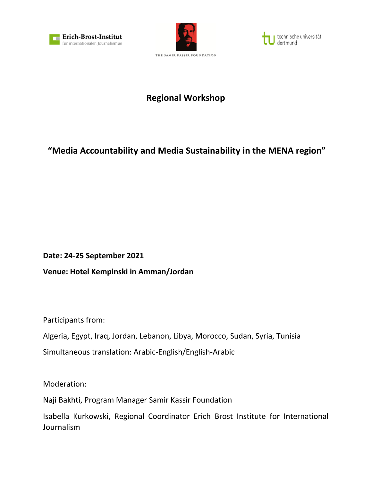





# **Regional Workshop**

# **"Media Accountability and Media Sustainability in the MENA region"**

**Date: 24-25 September 2021**

**Venue: Hotel Kempinski in Amman/Jordan**

Participants from:

Algeria, Egypt, Iraq, Jordan, Lebanon, Libya, Morocco, Sudan, Syria, Tunisia Simultaneous translation: Arabic-English/English-Arabic

Moderation:

Naji Bakhti, Program Manager Samir Kassir Foundation

Isabella Kurkowski, Regional Coordinator Erich Brost Institute for International Journalism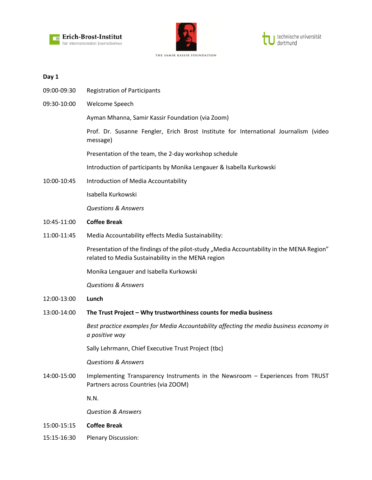





#### **Day 1**

- 09:00-09:30 Registration of Participants
- 09:30-10:00 Welcome Speech

Ayman Mhanna, Samir Kassir Foundation (via Zoom)

Prof. Dr. Susanne Fengler, Erich Brost Institute for International Journalism (video message)

Presentation of the team, the 2-day workshop schedule

Introduction of participants by Monika Lengauer & Isabella Kurkowski

10:00-10:45 Introduction of Media Accountability

Isabella Kurkowski

*Questions & Answers*

- 10:45-11:00 **Coffee Break**
- 11:00-11:45 Media Accountability effects Media Sustainability:

Presentation of the findings of the pilot-study "Media Accountability in the MENA Region" related to Media Sustainability in the MENA region

Monika Lengauer and Isabella Kurkowski

*Questions & Answers*

- 12:00-13:00 **Lunch**
- 13:00-14:00 **The Trust Project – Why trustworthiness counts for media business**

*Best practice examples for Media Accountability affecting the media business economy in a positive way*

Sally Lehrmann, Chief Executive Trust Project (tbc)

*Questions & Answers*

14:00-15:00 Implementing Transparency Instruments in the Newsroom – Experiences from TRUST Partners across Countries (via ZOOM)

N.N.

*Question & Answers*

- 15:00-15:15 **Coffee Break**
- 15:15-16:30 Plenary Discussion: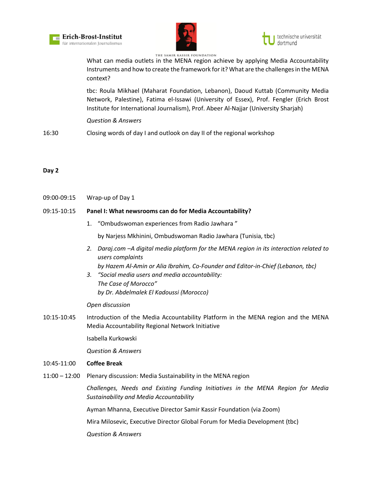



technische universität

What can media outlets in the MENA region achieve by applying Media Accountability Instruments and how to create the framework for it? What are the challenges in the MENA context?

tbc: Roula Mikhael (Maharat Foundation, Lebanon), Daoud Kuttab (Community Media Network, Palestine), Fatima el-Issawi (University of Essex), Prof. Fengler (Erich Brost Institute for International Journalism), Prof. Abeer Al-Najjar (University Sharjah)

*Question & Answers*

16:30 Closing words of day I and outlook on day II of the regional workshop

## **Day 2**

09:00-09:15 Wrap-up of Day 1

## 09:15-10:15 **Panel I: What newsrooms can do for Media Accountability?**

1. "Ombudswoman experiences from Radio Jawhara "

by Narjess Mkhinini, Ombudswoman Radio Jawhara (Tunisia, tbc)

*2. Daraj.com –A digital media platform for the MENA region in its interaction related to users complaints*

*by Hazem Al-Amin or Alia Ibrahim, Co-Founder and Editor-in-Chief (Lebanon, tbc)*

*3. "Social media users and media accountability: The Case of Morocco" by Dr. Abdelmalek El Kadoussi (Morocco)*

## *Open discussion*

10:15-10:45 Introduction of the Media Accountability Platform in the MENA region and the MENA Media Accountability Regional Network Initiative

Isabella Kurkowski

*Question & Answers*

## 10:45-11:00 **Coffee Break**

11:00 – 12:00 Plenary discussion: Media Sustainability in the MENA region

*Challenges, Needs and Existing Funding Initiatives in the MENA Region for Media Sustainability and Media Accountability*

Ayman Mhanna, Executive Director Samir Kassir Foundation (via Zoom)

Mira Milosevic, Executive Director Global Forum for Media Development (tbc)

*Question & Answers*